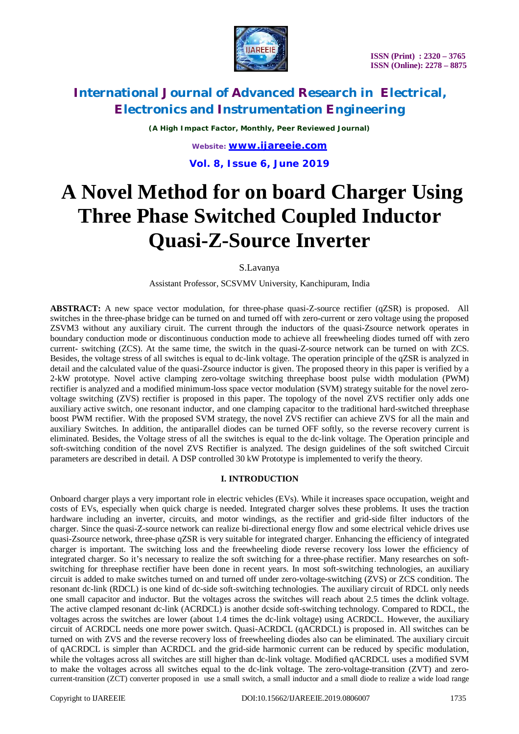

*(A High Impact Factor, Monthly, Peer Reviewed Journal)*

*Website: [www.ijareeie.com](http://www.ijareeie.com)* **Vol. 8, Issue 6, June 2019**

# **A Novel Method for on board Charger Using Three Phase Switched Coupled Inductor Quasi-Z-Source Inverter**

S.Lavanya

Assistant Professor, SCSVMV University, Kanchipuram, India

**ABSTRACT:** A new space vector modulation, for three-phase quasi-Z-source rectifier (qZSR) is proposed. All switches in the three-phase bridge can be turned on and turned off with zero-current or zero voltage using the proposed ZSVM3 without any auxiliary ciruit. The current through the inductors of the quasi-Zsource network operates in boundary conduction mode or discontinuous conduction mode to achieve all freewheeling diodes turned off with zero current- switching (ZCS). At the same time, the switch in the quasi-Z-source network can be turned on with ZCS. Besides, the voltage stress of all switches is equal to dc-link voltage. The operation principle of the qZSR is analyzed in detail and the calculated value of the quasi-Zsource inductor is given. The proposed theory in this paper is verified by a 2-kW prototype. Novel active clamping zero-voltage switching threephase boost pulse width modulation (PWM) rectifier is analyzed and a modified minimum-loss space vector modulation (SVM) strategy suitable for the novel zerovoltage switching (ZVS) rectifier is proposed in this paper. The topology of the novel ZVS rectifier only adds one auxiliary active switch, one resonant inductor, and one clamping capacitor to the traditional hard-switched threephase boost PWM rectifier. With the proposed SVM strategy, the novel ZVS rectifier can achieve ZVS for all the main and auxiliary Switches. In addition, the antiparallel diodes can be turned OFF softly, so the reverse recovery current is eliminated. Besides, the Voltage stress of all the switches is equal to the dc-link voltage. The Operation principle and soft-switching condition of the novel ZVS Rectifier is analyzed. The design guidelines of the soft switched Circuit parameters are described in detail. A DSP controlled 30 kW Prototype is implemented to verify the theory.

### **I. INTRODUCTION**

Onboard charger plays a very important role in electric vehicles (EVs). While it increases space occupation, weight and costs of EVs, especially when quick charge is needed. Integrated charger solves these problems. It uses the traction hardware including an inverter, circuits, and motor windings, as the rectifier and grid-side filter inductors of the charger. Since the quasi-Z-source network can realize bi-directional energy flow and some electrical vehicle drives use quasi-Zsource network, three-phase qZSR is very suitable for integrated charger. Enhancing the efficiency of integrated charger is important. The switching loss and the freewheeling diode reverse recovery loss lower the efficiency of integrated charger. So it's necessary to realize the soft switching for a three-phase rectifier. Many researches on softswitching for threephase rectifier have been done in recent years. In most soft-switching technologies, an auxiliary circuit is added to make switches turned on and turned off under zero-voltage-switching (ZVS) or ZCS condition. The resonant dc-link (RDCL) is one kind of dc-side soft-switching technologies. The auxiliary circuit of RDCL only needs one small capacitor and inductor. But the voltages across the switches will reach about 2.5 times the dclink voltage. The active clamped resonant dc-link (ACRDCL) is another dcside soft-switching technology. Compared to RDCL, the voltages across the switches are lower (about 1.4 times the dc-link voltage) using ACRDCL. However, the auxiliary circuit of ACRDCL needs one more power switch. Quasi-ACRDCL (qACRDCL) is proposed in. All switches can be turned on with ZVS and the reverse recovery loss of freewheeling diodes also can be eliminated. The auxiliary circuit of qACRDCL is simpler than ACRDCL and the grid-side harmonic current can be reduced by specific modulation, while the voltages across all switches are still higher than dc-link voltage. Modified qACRDCL uses a modified SVM to make the voltages across all switches equal to the dc-link voltage. The zero-voltage-transition (ZVT) and zerocurrent-transition (ZCT) converter proposed in use a small switch, a small inductor and a small diode to realize a wide load range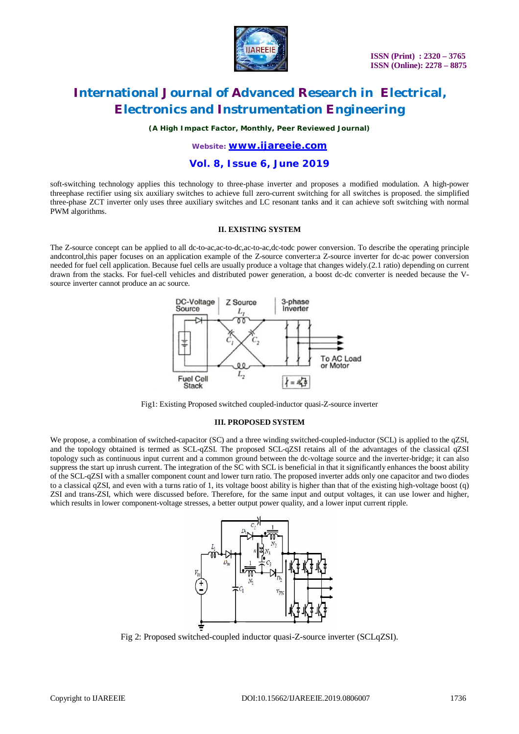

*(A High Impact Factor, Monthly, Peer Reviewed Journal)*

*Website: [www.ijareeie.com](http://www.ijareeie.com)*

## **Vol. 8, Issue 6, June 2019**

soft-switching technology applies this technology to three-phase inverter and proposes a modified modulation. A high-power threephase rectifier using six auxiliary switches to achieve full zero-current switching for all switches is proposed. the simplified three-phase ZCT inverter only uses three auxiliary switches and LC resonant tanks and it can achieve soft switching with normal PWM algorithms.

#### **II. EXISTING SYSTEM**

The Z-source concept can be applied to all dc-to-ac,ac-to-dc,ac-to-ac,dc-todc power conversion. To describe the operating principle andcontrol,this paper focuses on an application example of the Z-source converter:a Z-source inverter for dc-ac power conversion needed for fuel cell application. Because fuel cells are usually produce a voltage that changes widely.(2.1 ratio) depending on current drawn from the stacks. For fuel-cell vehicles and distributed power generation, a boost dc-dc converter is needed because the Vsource inverter cannot produce an ac source.



Fig1: Existing Proposed switched coupled-inductor quasi-Z-source inverter

#### **III. PROPOSED SYSTEM**

We propose, a combination of switched-capacitor (SC) and a three winding switched-coupled-inductor (SCL) is applied to the qZSI, and the topology obtained is termed as SCL-qZSI. The proposed SCL-qZSI retains all of the advantages of the classical qZSI topology such as continuous input current and a common ground between the dc-voltage source and the inverter-bridge; it can also suppress the start up inrush current. The integration of the SC with SCL is beneficial in that it significantly enhances the boost ability of the SCL-qZSI with a smaller component count and lower turn ratio. The proposed inverter adds only one capacitor and two diodes to a classical qZSI, and even with a turns ratio of 1, its voltage boost ability is higher than that of the existing high-voltage boost (q) ZSI and trans-ZSI, which were discussed before. Therefore, for the same input and output voltages, it can use lower and higher, which results in lower component-voltage stresses, a better output power quality, and a lower input current ripple.



Fig 2: Proposed switched-coupled inductor quasi-Z-source inverter (SCLqZSI).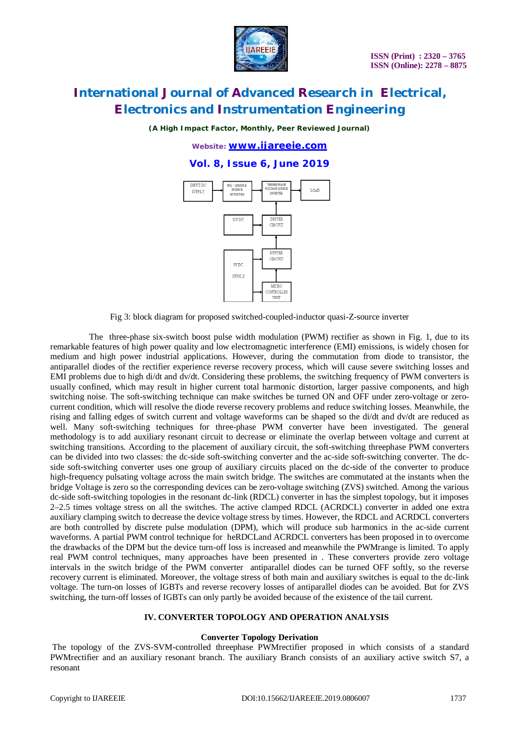

*(A High Impact Factor, Monthly, Peer Reviewed Journal)*

*Website: [www.ijareeie.com](http://www.ijareeie.com)*

**Vol. 8, Issue 6, June 2019**



Fig 3: block diagram for proposed switched-coupled-inductor quasi-Z-source inverter

 The three-phase six-switch boost pulse width modulation (PWM) rectifier as shown in Fig. 1, due to its remarkable features of high power quality and low electromagnetic interference (EMI) emissions, is widely chosen for medium and high power industrial applications. However, during the commutation from diode to transistor, the antiparallel diodes of the rectifier experience reverse recovery process, which will cause severe switching losses and EMI problems due to high di/dt and dv/dt. Considering these problems, the switching frequency of PWM converters is usually confined, which may result in higher current total harmonic distortion, larger passive components, and high switching noise. The soft-switching technique can make switches be turned ON and OFF under zero-voltage or zerocurrent condition, which will resolve the diode reverse recovery problems and reduce switching losses. Meanwhile, the rising and falling edges of switch current and voltage waveforms can be shaped so the di/dt and dv/dt are reduced as well. Many soft-switching techniques for three-phase PWM converter have been investigated. The general methodology is to add auxiliary resonant circuit to decrease or eliminate the overlap between voltage and current at switching transitions. According to the placement of auxiliary circuit, the soft-switching threephase PWM converters can be divided into two classes: the dc-side soft-switching converter and the ac-side soft-switching converter. The dcside soft-switching converter uses one group of auxiliary circuits placed on the dc-side of the converter to produce high-frequency pulsating voltage across the main switch bridge. The switches are commutated at the instants when the bridge Voltage is zero so the corresponding devices can be zero-voltage switching (ZVS) switched. Among the various dc-side soft-switching topologies in the resonant dc-link (RDCL) converter in has the simplest topology, but it imposes 2–2.5 times voltage stress on all the switches. The active clamped RDCL (ACRDCL) converter in added one extra auxiliary clamping switch to decrease the device voltage stress by times. However, the RDCL and ACRDCL converters are both controlled by discrete pulse modulation (DPM), which will produce sub harmonics in the ac-side current waveforms. A partial PWM control technique for heRDCLand ACRDCL converters has been proposed in to overcome the drawbacks of the DPM but the device turn-off loss is increased and meanwhile the PWMrange is limited. To apply real PWM control techniques, many approaches have been presented in . These converters provide zero voltage intervals in the switch bridge of the PWM converter antiparallel diodes can be turned OFF softly, so the reverse recovery current is eliminated. Moreover, the voltage stress of both main and auxiliary switches is equal to the dc-link voltage. The turn-on losses of IGBTs and reverse recovery losses of antiparallel diodes can be avoided. But for ZVS switching, the turn-off losses of IGBTs can only partly be avoided because of the existence of the tail current.

#### **IV. CONVERTER TOPOLOGY AND OPERATION ANALYSIS**

#### **Converter Topology Derivation**

The topology of the ZVS-SVM-controlled threephase PWMrectifier proposed in which consists of a standard PWMrectifier and an auxiliary resonant branch. The auxiliary Branch consists of an auxiliary active switch S7, a resonant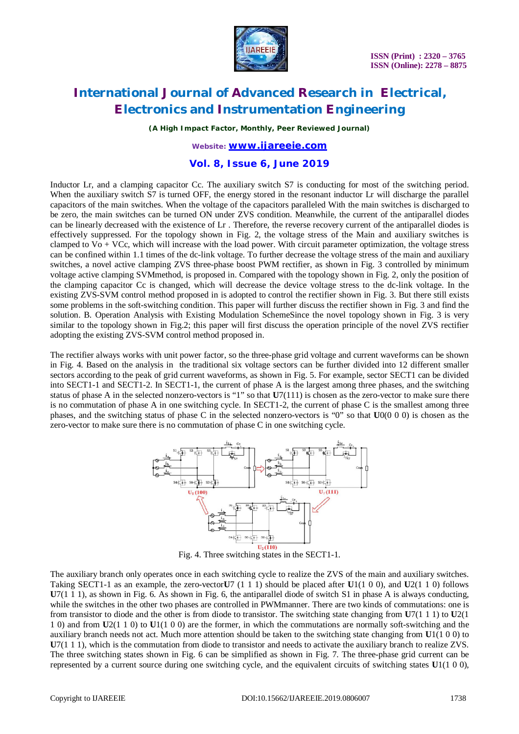

*(A High Impact Factor, Monthly, Peer Reviewed Journal)*

*Website: [www.ijareeie.com](http://www.ijareeie.com)*

### **Vol. 8, Issue 6, June 2019**

Inductor Lr, and a clamping capacitor Cc. The auxiliary switch S7 is conducting for most of the switching period. When the auxiliary switch S7 is turned OFF, the energy stored in the resonant inductor Lr will discharge the parallel capacitors of the main switches. When the voltage of the capacitors paralleled With the main switches is discharged to be zero, the main switches can be turned ON under ZVS condition. Meanwhile, the current of the antiparallel diodes can be linearly decreased with the existence of Lr . Therefore, the reverse recovery current of the antiparallel diodes is effectively suppressed. For the topology shown in Fig. 2, the voltage stress of the Main and auxiliary switches is clamped to  $Vo + VCc$ , which will increase with the load power. With circuit parameter optimization, the voltage stress can be confined within 1.1 times of the dc-link voltage. To further decrease the voltage stress of the main and auxiliary switches, a novel active clamping ZVS three-phase boost PWM rectifier, as shown in Fig. 3 controlled by minimum voltage active clamping SVMmethod, is proposed in. Compared with the topology shown in Fig. 2, only the position of the clamping capacitor Cc is changed, which will decrease the device voltage stress to the dc-link voltage. In the existing ZVS-SVM control method proposed in is adopted to control the rectifier shown in Fig. 3. But there still exists some problems in the soft-switching condition. This paper will further discuss the rectifier shown in Fig. 3 and find the solution. B. Operation Analysis with Existing Modulation SchemeSince the novel topology shown in Fig. 3 is very similar to the topology shown in Fig.2; this paper will first discuss the operation principle of the novel ZVS rectifier adopting the existing ZVS-SVM control method proposed in.

The rectifier always works with unit power factor, so the three-phase grid voltage and current waveforms can be shown in Fig. 4. Based on the analysis in the traditional six voltage sectors can be further divided into 12 different smaller sectors according to the peak of grid current waveforms, as shown in Fig. 5. For example, sector SECT1 can be divided into SECT1-1 and SECT1-2. In SECT1-1, the current of phase A is the largest among three phases, and the switching status of phase A in the selected nonzero-vectors is "1" so that **U**7(111) is chosen as the zero-vector to make sure there is no commutation of phase A in one switching cycle. In SECT1-2, the current of phase C is the smallest among three phases, and the switching status of phase C in the selected nonzero-vectors is "0" so that **U**0(0 0 0) is chosen as the zero-vector to make sure there is no commutation of phase C in one switching cycle.



Fig. 4. Three switching states in the SECT1-1.

The auxiliary branch only operates once in each switching cycle to realize the ZVS of the main and auxiliary switches. Taking SECT1-1 as an example, the zero-vector**U**7 (1 1 1) should be placed after **U**1(1 0 0), and **U**2(1 1 0) follows **U**7(1 1 1), as shown in Fig. 6. As shown in Fig. 6, the antiparallel diode of switch S1 in phase A is always conducting, while the switches in the other two phases are controlled in PWMmanner. There are two kinds of commutations: one is from transistor to diode and the other is from diode to transistor. The switching state changing from **U**7(1 1 1) to **U**2(1 1 0) and from **U**2(1 1 0) to **U**1(1 0 0) are the former, in which the commutations are normally soft-switching and the auxiliary branch needs not act. Much more attention should be taken to the switching state changing from **U**1(1 0 0) to **U**7(1 1 1), which is the commutation from diode to transistor and needs to activate the auxiliary branch to realize ZVS. The three switching states shown in Fig. 6 can be simplified as shown in Fig. 7. The three-phase grid current can be represented by a current source during one switching cycle, and the equivalent circuits of switching states **U**1(1 0 0),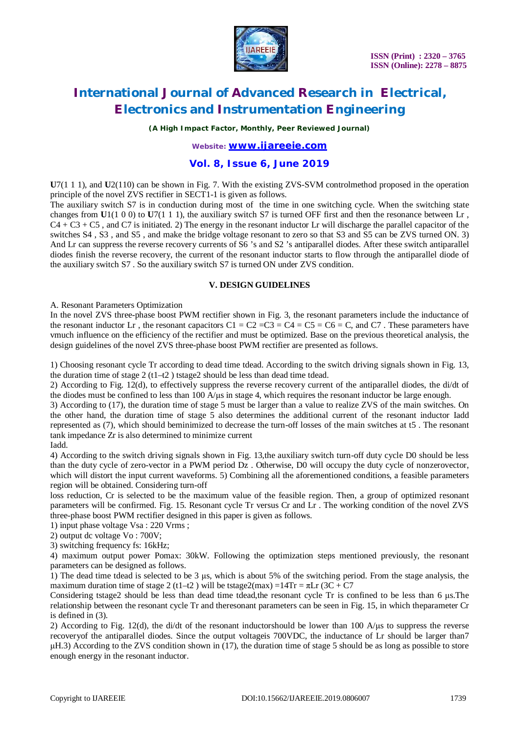

*(A High Impact Factor, Monthly, Peer Reviewed Journal)*

### *Website: [www.ijareeie.com](http://www.ijareeie.com)*

### **Vol. 8, Issue 6, June 2019**

**U**7(1 1 1), and **U**2(110) can be shown in Fig. 7. With the existing ZVS-SVM controlmethod proposed in the operation principle of the novel ZVS rectifier in SECT1-1 is given as follows.

The auxiliary switch S7 is in conduction during most of the time in one switching cycle. When the switching state changes from **U**1(1 0 0) to **U**7(1 1 1), the auxiliary switch S7 is turned OFF first and then the resonance between Lr ,  $C4 + C3 + C5$ , and C7 is initiated. 2) The energy in the resonant inductor Lr will discharge the parallel capacitor of the switches S4, S3, and S5, and make the bridge voltage resonant to zero so that S3 and S5 can be ZVS turned ON, 3) And Lr can suppress the reverse recovery currents of S6 's and S2 's antiparallel diodes. After these switch antiparallel diodes finish the reverse recovery, the current of the resonant inductor starts to flow through the antiparallel diode of the auxiliary switch S7 . So the auxiliary switch S7 is turned ON under ZVS condition.

### **V. DESIGN GUIDELINES**

A. Resonant Parameters Optimization

In the novel ZVS three-phase boost PWM rectifier shown in Fig. 3, the resonant parameters include the inductance of the resonant inductor Lr, the resonant capacitors C1 = C2 = C3 = C4 = C5 = C6 = C, and C7. These parameters have vmuch influence on the efficiency of the rectifier and must be optimized. Base on the previous theoretical analysis, the design guidelines of the novel ZVS three-phase boost PWM rectifier are presented as follows.

1) Choosing resonant cycle Tr according to dead time tdead. According to the switch driving signals shown in Fig. 13, the duration time of stage 2 (t1–t2 ) tstage2 should be less than dead time tdead.

2) According to Fig. 12(d), to effectively suppress the reverse recovery current of the antiparallel diodes, the di/dt of the diodes must be confined to less than  $100 \text{ A}/\mu s$  in stage 4, which requires the resonant inductor be large enough.

3) According to (17), the duration time of stage 5 must be larger than a value to realize ZVS of the main switches. On the other hand, the duration time of stage 5 also determines the additional current of the resonant inductor Iadd represented as (7), which should beminimized to decrease the turn-off losses of the main switches at t5 . The resonant tank impedance Zr is also determined to minimize current

Iadd.

4) According to the switch driving signals shown in Fig. 13,the auxiliary switch turn-off duty cycle D0 should be less than the duty cycle of zero-vector in a PWM period Dz . Otherwise, D0 will occupy the duty cycle of nonzerovector, which will distort the input current waveforms. 5) Combining all the aforementioned conditions, a feasible parameters region will be obtained. Considering turn-off

loss reduction, Cr is selected to be the maximum value of the feasible region. Then, a group of optimized resonant parameters will be confirmed. Fig. 15. Resonant cycle Tr versus Cr and Lr . The working condition of the novel ZVS three-phase boost PWM rectifier designed in this paper is given as follows.

1) input phase voltage Vsa : 220 Vrms ;

2) output dc voltage Vo : 700V;

3) switching frequency fs: 16kHz;

4) maximum output power Pomax: 30kW. Following the optimization steps mentioned previously, the resonant parameters can be designed as follows.

1) The dead time tdead is selected to be 3 μs, which is about 5% of the switching period. From the stage analysis, the maximum duration time of stage 2 (t1–t2) will be tstage2(max) =14Tr =  $\pi$ Lr (3C + C7

Considering tstage2 should be less than dead time tdead,the resonant cycle Tr is confined to be less than 6 μs.The relationship between the resonant cycle Tr and theresonant parameters can be seen in Fig. 15, in which theparameter Cr is defined in (3).

2) According to Fig. 12(d), the di/dt of the resonant inductorshould be lower than 100 A/ $\mu$ s to suppress the reverse recoveryof the antiparallel diodes. Since the output voltageis 700VDC, the inductance of Lr should be larger than7 μH.3) According to the ZVS condition shown in (17), the duration time of stage 5 should be as long as possible to store enough energy in the resonant inductor.